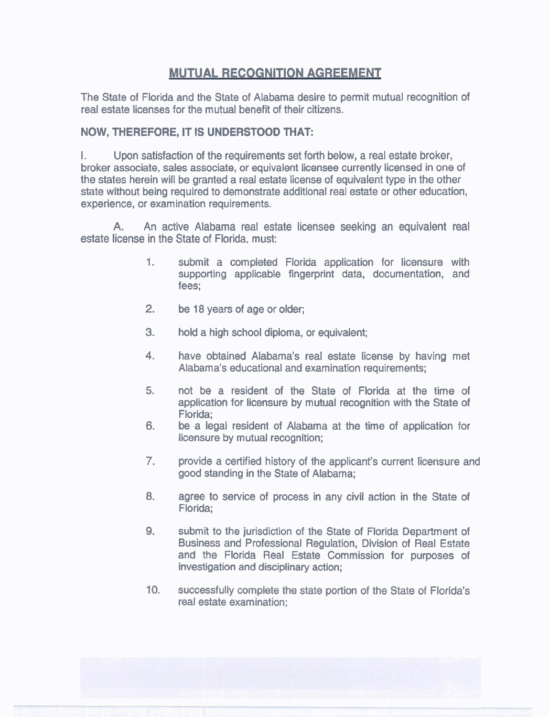## **MUTUAL RECOGNITION AGREEMENT**

The State of Florida and the State of Alabama desire to permit mutual recognition of real estate licenses for the mutual benefit of their citizens.

## **NOW, THEREFORE, IT IS UNDERSTOOD THAT:**

I. Upon satisfaction of the requirements set forth below, a real estate broker, broker associate, sales associate, or equivalent licensee currently licensed in one of the states herein will be granted a real estate license of equivalent type in the other state without being required to demonstrate additional real estate or other education, experience, or examination requirements.

**A.** An active Alabama real estate licensee seeking an equivalent real estate license in the State of Florida, must:

- 1. submit a completed Florida application for licensure with supporting applicable fingerprint data, documentation, and fees;
- **2.** be 18 years of age or older;
- **3.** hold a high school diploma, or equivalent;
- **4.** have obtained Alabama's real estate license by having met Alabama's educational and examination requirements;
- 5. not be a resident of the State of Florida at the time of application for licensure by mutual recognition with the State of Florida;
- **6.** be a legal resident of Alabama at the time of application for licensure by mutual recognition;
- 7. provide a certified history of the applicant's current licensure and good standing in the State of Alabama;
- **8.** agree to service of process in any civil action in the State of Florida;
- **9.** submit to the jurisdiction of the State of Florida Department of Business and Professional Regulation, Division of Real Estate and the Florida Real Estate Commission for purposes of investigation and disciplinary action;
- **10.** successfully complete the state portion of the State of Florida's real estate examination;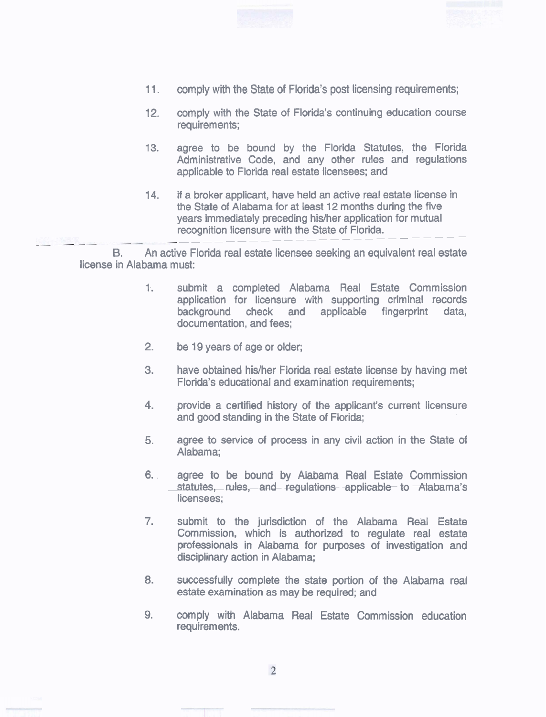



- 11. comply with the State of Florida's post licensing requirements;
- 12. comply with the State of Florida's continuing education course requirements;
- 13. agree to be bound by the Florida Statutes, the Florida Administrative Code, and any other rules and regulations applicable to Florida real estate licensees; and
- 14. if a broker applicant, have held an active real estate license in the State of Alabama for at least 12 months during the five years immediately preceding hidher application for mutual --------- recognition licensure with the State of Florida.

**B.** An active Florida real estate licensee seeking an equivalent real estate license in Alabama must:

- 1. submit a completed Alabama Real Estate Commission application for licensure with supporting criminal records background check and applicable fingerprint data, documentation, and fees;
- **2.** be 19 years of age or older;
- **3.** have obtained his/her Florida real estate license by having met Florida's educational and examination requirements;
- **4.** provide a certified history of the applicant's current licensure and good standing in the State of Florida;
- **5.** agree to service of process in **any** civil action in the State of Alabama;
- 6. agree to be bound by Alabama Real Estate Commission statutes, rules, and regulations applicable to Alabama's licensees;
- 7. submit to the jurisdiction of the Alabama Real Estate Commission, which is authorized to regulate real estate professionals in Alabama for purposes of investigation and disciplinary action in Alabama;
- **8.** successfully complete the state portion of the Alabama real estate examination as may be required; and
- 9. comply with Alabama Real Estate Commission education requirements.



 $\overline{2}$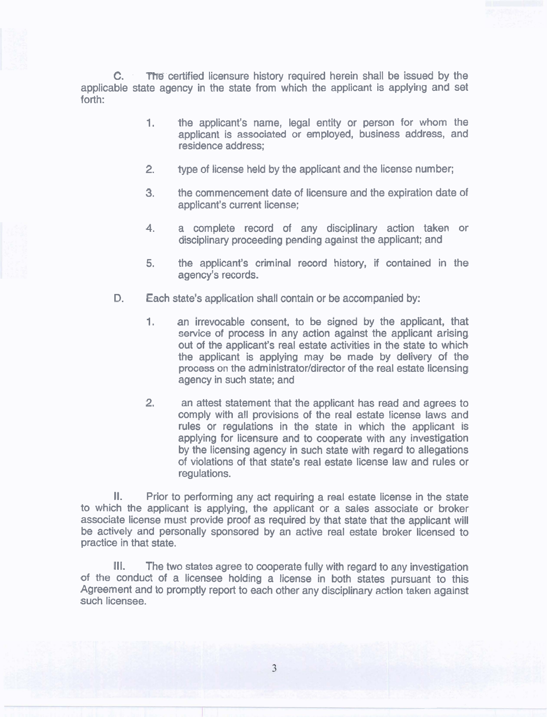**C.** The certified licensure history required herein shall be issued by the applicable state agency in the state from which the applicant is applying and set forth:

- **1.** the applicant's name, legal entity or person for whom the applicant is associated or employed, business address, and residence address;
- **2.** type of license held by the applicant and the license number;
- **3.** the commencement date of licensure and the expiration date of applicant's current license;
- 4. a complete record of any disciplinary action taken or disciplinary proceeding pending against the applicant; and
- 5. the applicant's criminal record history, if contained in the agency's records.
- **D.** Each state's application shall contain or be accompanied by:
	- **1.** an irrevocable consent, to be signed by the applicant, that service of process in any action against the applicant arising out of the applicant's real estate activities in the state to which the applicant is applying may be made by delivery of the process on the administrator/director of the real estate licensing agency in such state; and
	- **2.** an attest statement that the applicant has read and agrees to comply with all provisions of the real estate license laws and rules or regulations in the state in which the applicant is applying for licensure and to cooperate with any investigation by the licensing agency in such state with regard to allegations of violations of that state's real estate license law and rules or regulations.

II. Prior to performing any act requiring a real estate license in the state to which the applicant is applying, the applicant or a sales associate or broker associate license must provide proof as required by that state that the applicant will be actively and personally sponsored by an active real estate broker licensed to practice in that state.

Ill. The two states agree to cooperate fully with regard to any investigation of the conduct of a licensee holding a license in both states pursuant to this Agreement and to promptly report to each other any disciplinary action taken against such licensee.

 $\overline{3}$